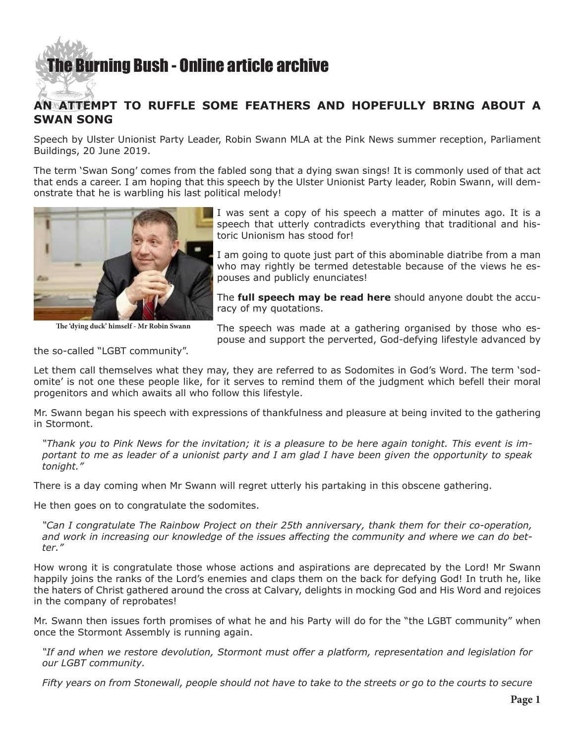## [The Burning Bush - Online article archive](http://www.ivanfoster.net)

## **AN ATTEMPT TO RUFFLE SOME FEATHERS AND HOPEFULLY BRING ABOUT A SWAN SONG**

Speech by Ulster Unionist Party Leader, Robin Swann MLA at the Pink News summer reception, Parliament Buildings, 20 June 2019.

The term 'Swan Song' comes from the fabled song that a dying swan sings! It is commonly used of that act that ends a career. I am hoping that this speech by the Ulster Unionist Party leader, Robin Swann, will demonstrate that he is warbling his last political melody!



**The 'dying duck' himself - Mr Robin Swann**

I was sent a copy of his speech a matter of minutes ago. It is a speech that utterly contradicts everything that traditional and historic Unionism has stood for!

I am going to quote just part of this abominable diatribe from a man who may rightly be termed detestable because of the views he espouses and publicly enunciates!

The **[full speech may be read here](https://uup.org/news/6113/21/Speech-by-UUP-Robin-Swann-MLA-at-the-2019-Pink-News-summer-reception#.XQztCZNKjOQ)** should anyone doubt the accuracy of my quotations.

The speech was made at a gathering organised by those who espouse and support the perverted, God-defying lifestyle advanced by

the so-called "LGBT community".

Let them call themselves what they may, they are referred to as Sodomites in God's Word. The term 'sodomite' is not one these people like, for it serves to remind them of the judgment which befell their moral progenitors and which awaits all who follow this lifestyle.

Mr. Swann began his speech with expressions of thankfulness and pleasure at being invited to the gathering in Stormont.

*"Thank you to Pink News for the invitation; it is a pleasure to be here again tonight. This event is important to me as leader of a unionist party and I am glad I have been given the opportunity to speak tonight."*

There is a day coming when Mr Swann will regret utterly his partaking in this obscene gathering.

He then goes on to congratulate the sodomites.

*"Can I congratulate The Rainbow Project on their 25th anniversary, thank them for their co-operation, and work in increasing our knowledge of the issues affecting the community and where we can do better."*

How wrong it is congratulate those whose actions and aspirations are deprecated by the Lord! Mr Swann happily joins the ranks of the Lord's enemies and claps them on the back for defying God! In truth he, like the haters of Christ gathered around the cross at Calvary, delights in mocking God and His Word and rejoices in the company of reprobates!

Mr. Swann then issues forth promises of what he and his Party will do for the "the LGBT community" when once the Stormont Assembly is running again.

*"If and when we restore devolution, Stormont must offer a platform, representation and legislation for our LGBT community.*

*Fifty years on from Stonewall, people should not have to take to the streets or go to the courts to secure*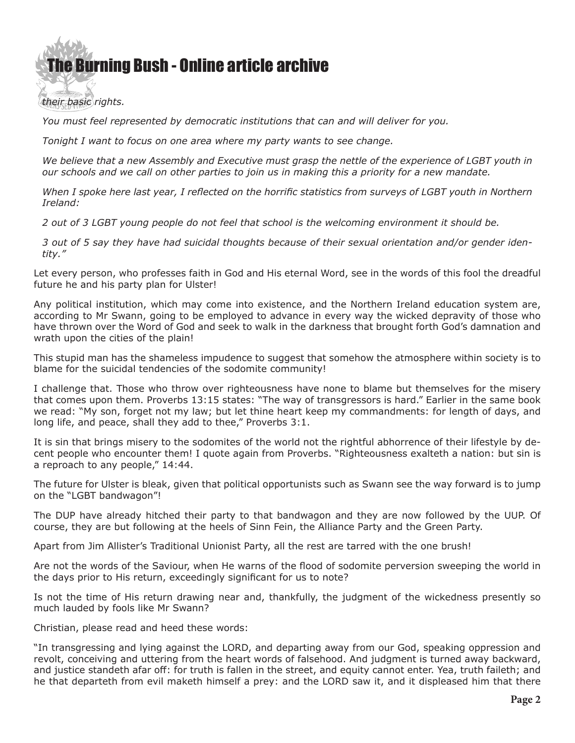## [The Bur](http://www.ivanfoster.net)ning Bush - Online article archive

*their basic rights.* 

*You must feel represented by democratic institutions that can and will deliver for you.*

*Tonight I want to focus on one area where my party wants to see change.*

*We believe that a new Assembly and Executive must grasp the nettle of the experience of LGBT youth in our schools and we call on other parties to join us in making this a priority for a new mandate.*

*When I spoke here last year, I reflected on the horrific statistics from surveys of LGBT youth in Northern Ireland:*

*2 out of 3 LGBT young people do not feel that school is the welcoming environment it should be.*

*3 out of 5 say they have had suicidal thoughts because of their sexual orientation and/or gender identity."*

Let every person, who professes faith in God and His eternal Word, see in the words of this fool the dreadful future he and his party plan for Ulster!

Any political institution, which may come into existence, and the Northern Ireland education system are, according to Mr Swann, going to be employed to advance in every way the wicked depravity of those who have thrown over the Word of God and seek to walk in the darkness that brought forth God's damnation and wrath upon the cities of the plain!

This stupid man has the shameless impudence to suggest that somehow the atmosphere within society is to blame for the suicidal tendencies of the sodomite community!

I challenge that. Those who throw over righteousness have none to blame but themselves for the misery that comes upon them. Proverbs 13:15 states: "The way of transgressors is hard." Earlier in the same book we read: "My son, forget not my law; but let thine heart keep my commandments: for length of days, and long life, and peace, shall they add to thee," Proverbs 3:1.

It is sin that brings misery to the sodomites of the world not the rightful abhorrence of their lifestyle by decent people who encounter them! I quote again from Proverbs. "Righteousness exalteth a nation: but sin is a reproach to any people," 14:44.

The future for Ulster is bleak, given that political opportunists such as Swann see the way forward is to jump on the "LGBT bandwagon"!

The DUP have already hitched their party to that bandwagon and they are now followed by the UUP. Of course, they are but following at the heels of Sinn Fein, the Alliance Party and the Green Party.

Apart from Jim Allister's Traditional Unionist Party, all the rest are tarred with the one brush!

Are not the words of the Saviour, when He warns of the flood of sodomite perversion sweeping the world in the days prior to His return, exceedingly significant for us to note?

Is not the time of His return drawing near and, thankfully, the judgment of the wickedness presently so much lauded by fools like Mr Swann?

Christian, please read and heed these words:

"In transgressing and lying against the LORD, and departing away from our God, speaking oppression and revolt, conceiving and uttering from the heart words of falsehood. And judgment is turned away backward, and justice standeth afar off: for truth is fallen in the street, and equity cannot enter. Yea, truth faileth; and he that departeth from evil maketh himself a prey: and the LORD saw it, and it displeased him that there